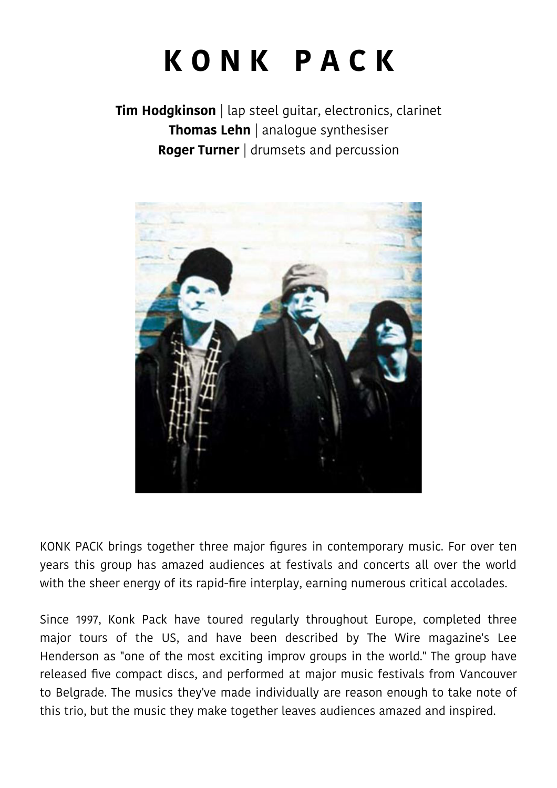# **K O N K P A C K**

**Tim Hodgkinson** | lap steel guitar, electronics, clarinet **Thomas Lehn** | analogue synthesiser **Roger Turner** | drumsets and percussion



KONK PACK brings together three major fgures in contemporary music. For over ten years this group has amazed audiences at festivals and concerts all over the world with the sheer energy of its rapid-fre interplay, earning numerous critical accolades.

Since 1997, Konk Pack have toured regularly throughout Europe, completed three major tours of the US, and have been described by The Wire magazine's Lee Henderson as "one of the most exciting improv groups in the world." The group have released fve compact discs, and performed at major music festivals from Vancouver to Belgrade. The musics they've made individually are reason enough to take note of this trio, but the music they make together leaves audiences amazed and inspired.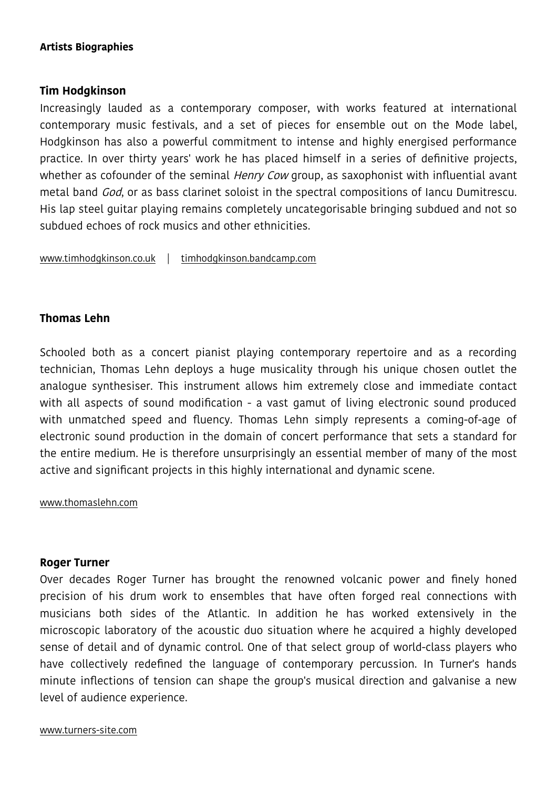## **Artists Biographies**

## **Tim Hodgkinson**

Increasingly lauded as a contemporary composer, with works featured at international contemporary music festivals, and a set of pieces for ensemble out on the Mode label, Hodgkinson has also a powerful commitment to intense and highly energised performance practice. In over thirty years' work he has placed himself in a series of defnitive projects, whether as cofounder of the seminal *Henry Cow* group, as saxophonist with influential avant metal band *God*, or as bass clarinet soloist in the spectral compositions of Iancu Dumitrescu. His lap steel guitar playing remains completely uncategorisable bringing subdued and not so subdued echoes of rock musics and other ethnicities.

[www.timhodgkinson.co.uk](http://www.timhodgkinson.co.uk/) | [timhodgkinson.bandcamp.com](https://timhodgkinson.bandcamp.com/)

## **Thomas Lehn**

Schooled both as a concert pianist playing contemporary repertoire and as a recording technician, Thomas Lehn deploys a huge musicality through his unique chosen outlet the analogue synthesiser. This instrument allows him extremely close and immediate contact with all aspects of sound modification - a vast gamut of living electronic sound produced with unmatched speed and fuency. Thomas Lehn simply represents a coming-of-age of electronic sound production in the domain of concert performance that sets a standard for the entire medium. He is therefore unsurprisingly an essential member of many of the most active and signifcant projects in this highly international and dynamic scene.

[www.thomaslehn.com](http://www.thomaslehn.com/)

### **Roger Turner**

Over decades Roger Turner has brought the renowned volcanic power and fnely honed precision of his drum work to ensembles that have often forged real connections with musicians both sides of the Atlantic. In addition he has worked extensively in the microscopic laboratory of the acoustic duo situation where he acquired a highly developed sense of detail and of dynamic control. One of that select group of world-class players who have collectively redefned the language of contemporary percussion. In Turner's hands minute infections of tension can shape the group's musical direction and galvanise a new level of audience experience.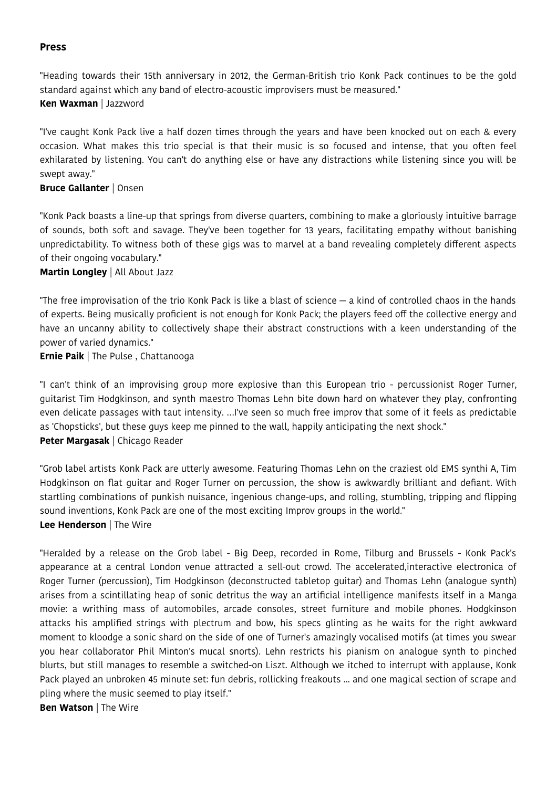#### **Press**

"Heading towards their 15th anniversary in 2012, the German-British trio Konk Pack continues to be the gold standard against which any band of electro-acoustic improvisers must be measured." **Ken Waxman** | Jazzword

"I've caught Konk Pack live a half dozen times through the years and have been knocked out on each & every occasion. What makes this trio special is that their music is so focused and intense, that you often feel exhilarated by listening. You can't do anything else or have any distractions while listening since you will be swept away."

#### **Bruce Gallanter** | Onsen

"Konk Pack boasts a line-up that springs from diverse quarters, combining to make a gloriously intuitive barrage of sounds, both soft and savage. They've been together for 13 years, facilitating empathy without banishing unpredictability. To witness both of these gigs was to marvel at a band revealing completely diferent aspects of their ongoing vocabulary."

#### **Martin Longley** | All About Jazz

"The free improvisation of the trio Konk Pack is like a blast of science — a kind of controlled chaos in the hands of experts. Being musically proficient is not enough for Konk Pack; the players feed off the collective energy and have an uncanny ability to collectively shape their abstract constructions with a keen understanding of the power of varied dynamics."

#### **Ernie Paik** | The Pulse , Chattanooga

"I can't think of an improvising group more explosive than this European trio - percussionist Roger Turner, guitarist Tim Hodgkinson, and synth maestro Thomas Lehn bite down hard on whatever they play, confronting even delicate passages with taut intensity. …I've seen so much free improv that some of it feels as predictable as 'Chopsticks', but these guys keep me pinned to the wall, happily anticipating the next shock." **Peter Margasak** | Chicago Reader

"Grob label artists Konk Pack are utterly awesome. Featuring Thomas Lehn on the craziest old EMS synthi A, Tim Hodgkinson on fat guitar and Roger Turner on percussion, the show is awkwardly brilliant and defant. With startling combinations of punkish nuisance, ingenious change-ups, and rolling, stumbling, tripping and fipping sound inventions, Konk Pack are one of the most exciting Improv groups in the world." **Lee Henderson** | The Wire

"Heralded by a release on the Grob label - Big Deep, recorded in Rome, Tilburg and Brussels - Konk Pack's appearance at a central London venue attracted a sell-out crowd. The accelerated,interactive electronica of Roger Turner (percussion), Tim Hodgkinson (deconstructed tabletop guitar) and Thomas Lehn (analogue synth) arises from a scintillating heap of sonic detritus the way an artifcial intelligence manifests itself in a Manga movie: a writhing mass of automobiles, arcade consoles, street furniture and mobile phones. Hodgkinson attacks his amplifed strings with plectrum and bow, his specs glinting as he waits for the right awkward moment to kloodge a sonic shard on the side of one of Turner's amazingly vocalised motifs (at times you swear you hear collaborator Phil Minton's mucal snorts). Lehn restricts his pianism on analogue synth to pinched blurts, but still manages to resemble a switched-on Liszt. Although we itched to interrupt with applause, Konk Pack played an unbroken 45 minute set: fun debris, rollicking freakouts ... and one magical section of scrape and pling where the music seemed to play itself."

**Ben Watson** | The Wire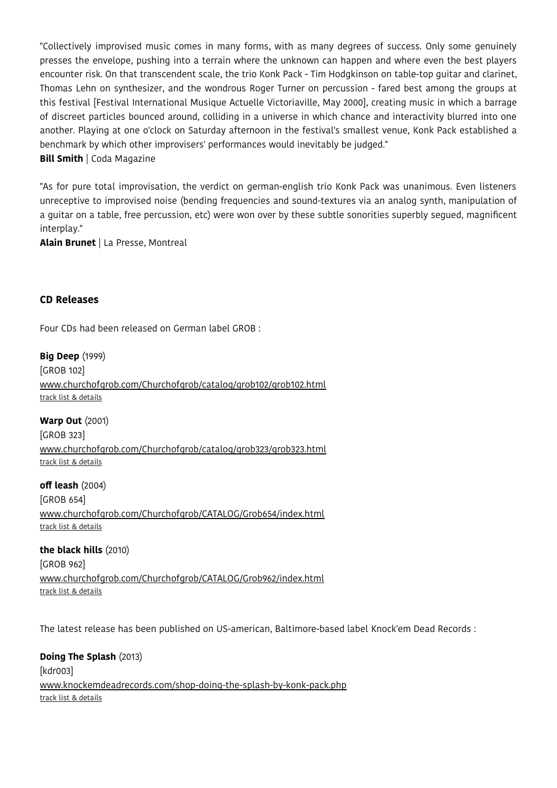"Collectively improvised music comes in many forms, with as many degrees of success. Only some genuinely presses the envelope, pushing into a terrain where the unknown can happen and where even the best players encounter risk. On that transcendent scale, the trio Konk Pack - Tim Hodgkinson on table-top guitar and clarinet, Thomas Lehn on synthesizer, and the wondrous Roger Turner on percussion - fared best among the groups at this festival [Festival International Musique Actuelle Victoriaville, May 2000], creating music in which a barrage of discreet particles bounced around, colliding in a universe in which chance and interactivity blurred into one another. Playing at one o'clock on Saturday afternoon in the festival's smallest venue, Konk Pack established a benchmark by which other improvisers' performances would inevitably be judged."

#### **Bill Smith** | Coda Magazine

"As for pure total improvisation, the verdict on german-english trio Konk Pack was unanimous. Even listeners unreceptive to improvised noise (bending frequencies and sound-textures via an analog synth, manipulation of a guitar on a table, free percussion, etc) were won over by these subtle sonorities superbly segued, magnifcent interplay."

**Alain Brunet** | La Presse, Montreal

#### **CD Releases**

Four CDs had been released on German label GROB :

**Big Deep** (1999) [GROB 102] [www.churchofgrob.com/Churchofgrob/catalog/grob102/grob102.html](http://www.churchofgrob.com/Churchofgrob/catalog/grob102/grob102.html) [track list & details](https://www.discogs.com/release/616224-Konk-Pack-Big-Deep)

**Warp Out** (2001) [GROB 323] [www.churchofgrob.com/Churchofgrob/catalog/grob323/grob323.html](http://www.churchofgrob.com/Churchofgrob/catalog/grob323/grob323.html) [track list & details](https://www.discogs.com/release/893396-Konk-Pack-Warp-Out)

**off leash** (2004) [GROB 654] [www.churchofgrob.com/Churchofgrob/CATALOG/Grob654/index.html](http://www.churchofgrob.com/Churchofgrob/CATALOG/Grob654/index.html) [track list & details](https://www.discogs.com/release/1271033-Konk-Pack-Off-Leash)

**the black hills** (2010) [GROB 962] [www.churchofgrob.com/Churchofgrob/CATALOG/Grob962/index.html](http://www.churchofgrob.com/Churchofgrob/CATALOG/Grob962/index.html) [track list & details](https://www.discogs.com/release/2392826-Konk-Pack-The-Black-Hills)

The latest release has been published on US-american, Baltimore-based label Knock'em Dead Records :

**Doing The Splash** (2013) [kdr003] www.knockemdeadrecords.com/shop-doing-the-splash-by-konk-pack.php [track list & details](https://www.discogs.com/release/4978785-Konk-Pack-Doing-The-Splash)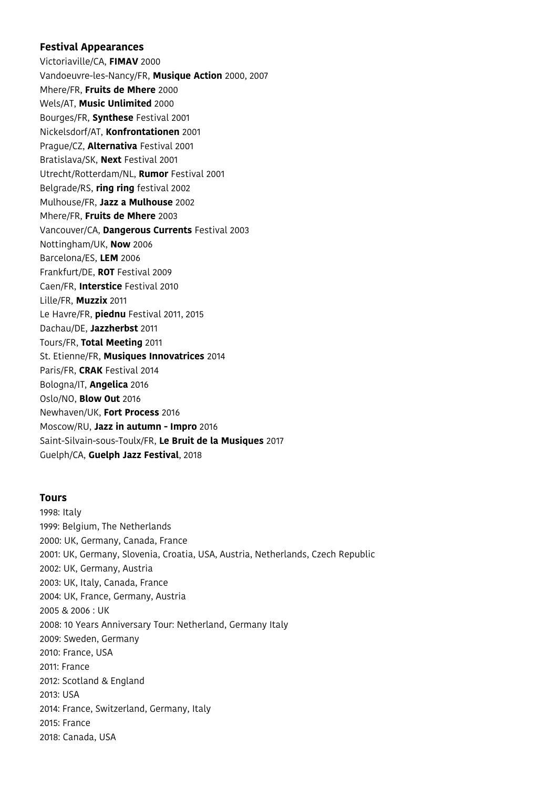#### **Festival Appearances**

Victoriaville/CA, **FIMAV** 2000 Vandoeuvre-les-Nancy/FR, **Musique Action** 2000, 2007 Mhere/FR, **Fruits de Mhere** 2000 Wels/AT, **Music Unlimited** 2000 Bourges/FR, **Synthese** Festival 2001 Nickelsdorf/AT, **Konfrontationen** 2001 Prague/CZ, **Alternativa** Festival 2001 Bratislava/SK, **Next** Festival 2001 Utrecht/Rotterdam/NL, **Rumor** Festival 2001 Belgrade/RS, **ring ring** festival 2002 Mulhouse/FR, **Jazz a Mulhouse** 2002 Mhere/FR, **Fruits de Mhere** 2003 Vancouver/CA, **Dangerous Currents** Festival 2003 Nottingham/UK, **Now** 2006 Barcelona/ES, **LEM** 2006 Frankfurt/DE, **ROT** Festival 2009 Caen/FR, **Interstice** Festival 2010 Lille/FR, **Muzzix** 2011 Le Havre/FR, **piednu** Festival 2011, 2015 Dachau/DE, **Jazzherbst** 2011 Tours/FR, **Total Meeting** 2011 St. Etienne/FR, **Musiques Innovatrices** 2014 Paris/FR, **CRAK** Festival 2014 Bologna/IT, **Angelica** 2016 Oslo/NO, **Blow Out** 2016 Newhaven/UK, **Fort Process** 2016 Moscow/RU, **Jazz in autumn - Impro** 2016 Saint-Silvain-sous-Toulx/FR, **Le Bruit de la Musiques** 2017 Guelph/CA, **Guelph Jazz Festival**, 2018

#### **Tours**

1998: Italy 1999: Belgium, The Netherlands 2000: UK, Germany, Canada, France 2001: UK, Germany, Slovenia, Croatia, USA, Austria, Netherlands, Czech Republic 2002: UK, Germany, Austria 2003: UK, Italy, Canada, France 2004: UK, France, Germany, Austria 2005 & 2006 : UK 2008: 10 Years Anniversary Tour: Netherland, Germany Italy 2009: Sweden, Germany 2010: France, USA 2011: France 2012: Scotland & England 2013: USA 2014: France, Switzerland, Germany, Italy 2015: France 2018: Canada, USA